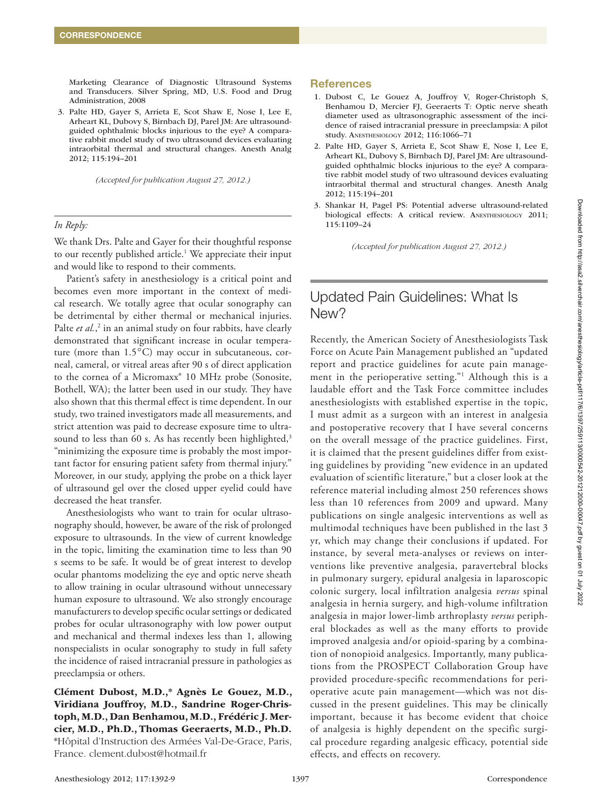Marketing Clearance of Diagnostic Ultrasound Systems and Transducers. Silver Spring, MD, U.S. Food and Drug Administration, 2008

3. Palte HD, Gayer S, Arrieta E, Scot Shaw E, Nose I, Lee E, Arheart KL, Dubovy S, Birnbach DJ, Parel JM: Are ultrasoundguided ophthalmic blocks injurious to the eye? A comparative rabbit model study of two ultrasound devices evaluating intraorbital thermal and structural changes. Anesth Analg 2012; 115:194–201

*(Accepted for publication August 27, 2012.)*

## *In Reply:*

We thank Drs. Palte and Gayer for their thoughtful response to our recently published article.<sup>1</sup> We appreciate their input and would like to respond to their comments.

Patient's safety in anesthesiology is a critical point and becomes even more important in the context of medical research. We totally agree that ocular sonography can be detrimental by either thermal or mechanical injuries. Palte et al.,<sup>2</sup> in an animal study on four rabbits, have clearly demonstrated that significant increase in ocular temperature (more than 1.5°C) may occur in subcutaneous, corneal, cameral, or vitreal areas after 90 s of direct application to the cornea of a Micromaxx® 10 MHz probe (Sonosite, Bothell, WA); the latter been used in our study. They have also shown that this thermal effect is time dependent. In our study, two trained investigators made all measurements, and strict attention was paid to decrease exposure time to ultrasound to less than 60 s. As has recently been highlighted,<sup>3</sup> "minimizing the exposure time is probably the most important factor for ensuring patient safety from thermal injury." Moreover, in our study, applying the probe on a thick layer of ultrasound gel over the closed upper eyelid could have decreased the heat transfer.

Anesthesiologists who want to train for ocular ultrasonography should, however, be aware of the risk of prolonged exposure to ultrasounds. In the view of current knowledge in the topic, limiting the examination time to less than 90 s seems to be safe. It would be of great interest to develop ocular phantoms modelizing the eye and optic nerve sheath to allow training in ocular ultrasound without unnecessary human exposure to ultrasound. We also strongly encourage manufacturers to develop specific ocular settings or dedicated probes for ocular ultrasonography with low power output and mechanical and thermal indexes less than 1, allowing nonspecialists in ocular sonography to study in full safety the incidence of raised intracranial pressure in pathologies as preeclampsia or others.

Clément Dubost, M.D.,\* Agnès Le Gouez, M.D., Viridiana Jouffroy, M.D., Sandrine Roger-Christoph, M.D., Dan Benhamou, M.D., Frédéric J. Mercier, M.D., Ph.D., Thomas Geeraerts, M.D., Ph.D. \*Hôpital d'Instruction des Armées Val-De-Grace, Paris, France. [clement.dubost@hotmail.fr](mailto:clement.dubost@hotmail.fr)

### **References**

- 1. Dubost C, Le Gouez A, Jouffroy V, Roger-Christoph S, Benhamou D, Mercier FJ, Geeraerts T: Optic nerve sheath diameter used as ultrasonographic assessment of the incidence of raised intracranial pressure in preeclampsia: A pilot study. Anesthesiology 2012; 116:1066–71
- 2. Palte HD, Gayer S, Arrieta E, Scot Shaw E, Nose I, Lee E, Arheart KL, Dubovy S, Birnbach DJ, Parel JM: Are ultrasoundguided ophthalmic blocks injurious to the eye? A comparative rabbit model study of two ultrasound devices evaluating intraorbital thermal and structural changes. Anesth Analg 2012; 115:194–201
- 3. Shankar H, Pagel PS: Potential adverse ultrasound-related biological effects: A critical review. ANESTHESIOLOGY 2011; 115:1109–24

*(Accepted for publication August 27, 2012.)*

# Updated Pain Guidelines: What Is New?

Recently, the American Society of Anesthesiologists Task Force on Acute Pain Management published an "updated report and practice guidelines for acute pain management in the perioperative setting."1 Although this is a laudable effort and the Task Force committee includes anesthesiologists with established expertise in the topic, I must admit as a surgeon with an interest in analgesia and postoperative recovery that I have several concerns on the overall message of the practice guidelines. First, it is claimed that the present guidelines differ from existing guidelines by providing "new evidence in an updated evaluation of scientific literature," but a closer look at the reference material including almost 250 references shows less than 10 references from 2009 and upward. Many publications on single analgesic interventions as well as multimodal techniques have been published in the last 3 yr, which may change their conclusions if updated. For instance, by several meta-analyses or reviews on interventions like preventive analgesia, paravertebral blocks in pulmonary surgery, epidural analgesia in laparoscopic colonic surgery, local infiltration analgesia *versus* spinal analgesia in hernia surgery, and high-volume infiltration analgesia in major lower-limb arthroplasty *versus* peripheral blockades as well as the many efforts to provide improved analgesia and/or opioid-sparing by a combination of nonopioid analgesics. Importantly, many publications from the PROSPECT Collaboration Group have provided procedure-specific recommendations for perioperative acute pain management—which was not discussed in the present guidelines. This may be clinically important, because it has become evident that choice of analgesia is highly dependent on the specific surgical procedure regarding analgesic efficacy, potential side effects, and effects on recovery.